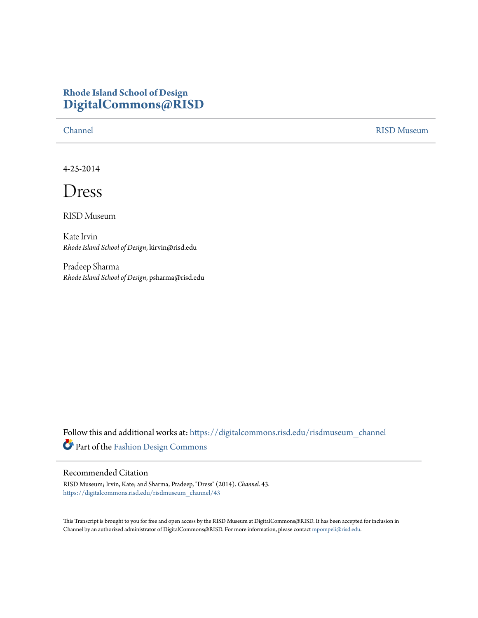## **Rhode Island School of Design [DigitalCommons@RISD](https://digitalcommons.risd.edu?utm_source=digitalcommons.risd.edu%2Frisdmuseum_channel%2F43&utm_medium=PDF&utm_campaign=PDFCoverPages)**

[Channel](https://digitalcommons.risd.edu/risdmuseum_channel?utm_source=digitalcommons.risd.edu%2Frisdmuseum_channel%2F43&utm_medium=PDF&utm_campaign=PDFCoverPages) [RISD Museum](https://digitalcommons.risd.edu/risdmuseum?utm_source=digitalcommons.risd.edu%2Frisdmuseum_channel%2F43&utm_medium=PDF&utm_campaign=PDFCoverPages)

4-25-2014

Dress

RISD Museum

Kate Irvin *Rhode Island School of Design*, kirvin@risd.edu

Pradeep Sharma *Rhode Island School of Design*, psharma@risd.edu

Follow this and additional works at: [https://digitalcommons.risd.edu/risdmuseum\\_channel](https://digitalcommons.risd.edu/risdmuseum_channel?utm_source=digitalcommons.risd.edu%2Frisdmuseum_channel%2F43&utm_medium=PDF&utm_campaign=PDFCoverPages) Part of the [Fashion Design Commons](http://network.bepress.com/hgg/discipline/1132?utm_source=digitalcommons.risd.edu%2Frisdmuseum_channel%2F43&utm_medium=PDF&utm_campaign=PDFCoverPages)

## Recommended Citation

RISD Museum; Irvin, Kate; and Sharma, Pradeep, "Dress" (2014). *Channel*. 43. [https://digitalcommons.risd.edu/risdmuseum\\_channel/43](https://digitalcommons.risd.edu/risdmuseum_channel/43?utm_source=digitalcommons.risd.edu%2Frisdmuseum_channel%2F43&utm_medium=PDF&utm_campaign=PDFCoverPages)

This Transcript is brought to you for free and open access by the RISD Museum at DigitalCommons@RISD. It has been accepted for inclusion in Channel by an authorized administrator of DigitalCommons@RISD. For more information, please contact [mpompeli@risd.edu.](mailto:mpompeli@risd.edu)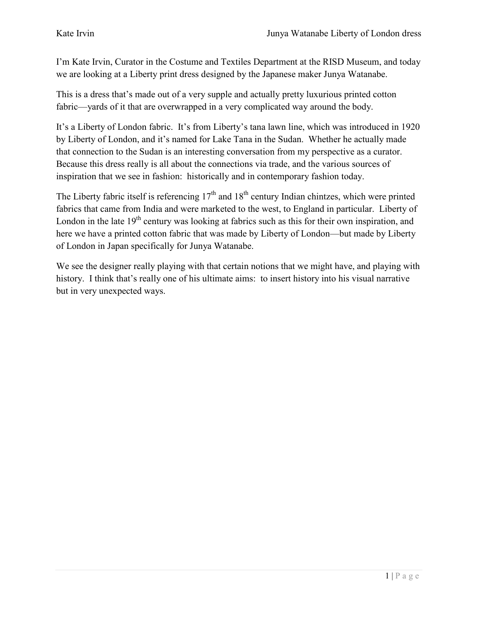I'm Kate Irvin, Curator in the Costume and Textiles Department at the RISD Museum, and today we are looking at a Liberty print dress designed by the Japanese maker Junya Watanabe.

This is a dress that's made out of a very supple and actually pretty luxurious printed cotton fabric—yards of it that are overwrapped in a very complicated way around the body.

It's a Liberty of London fabric. It's from Liberty's tana lawn line, which was introduced in 1920 by Liberty of London, and it's named for Lake Tana in the Sudan. Whether he actually made that connection to the Sudan is an interesting conversation from my perspective as a curator. Because this dress really is all about the connections via trade, and the various sources of inspiration that we see in fashion: historically and in contemporary fashion today.

The Liberty fabric itself is referencing  $17<sup>th</sup>$  and  $18<sup>th</sup>$  century Indian chintzes, which were printed fabrics that came from India and were marketed to the west, to England in particular. Liberty of London in the late  $19<sup>th</sup>$  century was looking at fabrics such as this for their own inspiration, and here we have a printed cotton fabric that was made by Liberty of London—but made by Liberty of London in Japan specifically for Junya Watanabe.

We see the designer really playing with that certain notions that we might have, and playing with history. I think that's really one of his ultimate aims: to insert history into his visual narrative but in very unexpected ways.